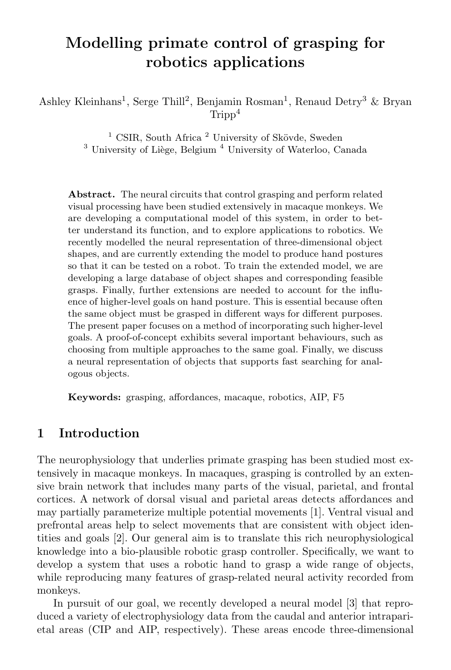# Modelling primate control of grasping for robotics applications

Ashley Kleinhans<sup>1</sup>, Serge Thill<sup>2</sup>, Benjamin Rosman<sup>1</sup>, Renaud Detry<sup>3</sup> & Bryan  $Tripn<sup>4</sup>$ 

> <sup>1</sup> CSIR, South Africa<sup>2</sup> University of Skövde, Sweden  $3$  University of Liège, Belgium  $4$  University of Waterloo, Canada

Abstract. The neural circuits that control grasping and perform related visual processing have been studied extensively in macaque monkeys. We are developing a computational model of this system, in order to better understand its function, and to explore applications to robotics. We recently modelled the neural representation of three-dimensional object shapes, and are currently extending the model to produce hand postures so that it can be tested on a robot. To train the extended model, we are developing a large database of object shapes and corresponding feasible grasps. Finally, further extensions are needed to account for the influence of higher-level goals on hand posture. This is essential because often the same object must be grasped in different ways for different purposes. The present paper focuses on a method of incorporating such higher-level goals. A proof-of-concept exhibits several important behaviours, such as choosing from multiple approaches to the same goal. Finally, we discuss a neural representation of objects that supports fast searching for analogous objects.

Keywords: grasping, affordances, macaque, robotics, AIP, F5

### 1 Introduction

The neurophysiology that underlies primate grasping has been studied most extensively in macaque monkeys. In macaques, grasping is controlled by an extensive brain network that includes many parts of the visual, parietal, and frontal cortices. A network of dorsal visual and parietal areas detects affordances and may partially parameterize multiple potential movements [1]. Ventral visual and prefrontal areas help to select movements that are consistent with object identities and goals [2]. Our general aim is to translate this rich neurophysiological knowledge into a bio-plausible robotic grasp controller. Specifically, we want to develop a system that uses a robotic hand to grasp a wide range of objects, while reproducing many features of grasp-related neural activity recorded from monkeys.

In pursuit of our goal, we recently developed a neural model [3] that reproduced a variety of electrophysiology data from the caudal and anterior intraparietal areas (CIP and AIP, respectively). These areas encode three-dimensional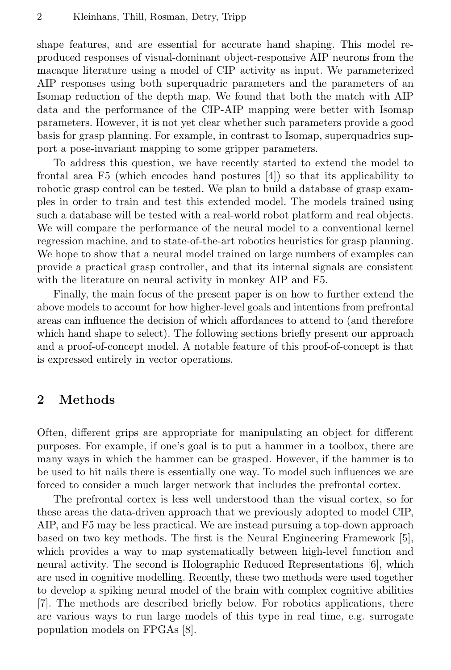shape features, and are essential for accurate hand shaping. This model reproduced responses of visual-dominant object-responsive AIP neurons from the macaque literature using a model of CIP activity as input. We parameterized AIP responses using both superquadric parameters and the parameters of an Isomap reduction of the depth map. We found that both the match with AIP data and the performance of the CIP-AIP mapping were better with Isomap parameters. However, it is not yet clear whether such parameters provide a good basis for grasp planning. For example, in contrast to Isomap, superquadrics support a pose-invariant mapping to some gripper parameters.

To address this question, we have recently started to extend the model to frontal area F5 (which encodes hand postures [4]) so that its applicability to robotic grasp control can be tested. We plan to build a database of grasp examples in order to train and test this extended model. The models trained using such a database will be tested with a real-world robot platform and real objects. We will compare the performance of the neural model to a conventional kernel regression machine, and to state-of-the-art robotics heuristics for grasp planning. We hope to show that a neural model trained on large numbers of examples can provide a practical grasp controller, and that its internal signals are consistent with the literature on neural activity in monkey AIP and F5.

Finally, the main focus of the present paper is on how to further extend the above models to account for how higher-level goals and intentions from prefrontal areas can influence the decision of which affordances to attend to (and therefore which hand shape to select). The following sections briefly present our approach and a proof-of-concept model. A notable feature of this proof-of-concept is that is expressed entirely in vector operations.

### 2 Methods

Often, different grips are appropriate for manipulating an object for different purposes. For example, if one's goal is to put a hammer in a toolbox, there are many ways in which the hammer can be grasped. However, if the hammer is to be used to hit nails there is essentially one way. To model such influences we are forced to consider a much larger network that includes the prefrontal cortex.

The prefrontal cortex is less well understood than the visual cortex, so for these areas the data-driven approach that we previously adopted to model CIP, AIP, and F5 may be less practical. We are instead pursuing a top-down approach based on two key methods. The first is the Neural Engineering Framework [5], which provides a way to map systematically between high-level function and neural activity. The second is Holographic Reduced Representations [6], which are used in cognitive modelling. Recently, these two methods were used together to develop a spiking neural model of the brain with complex cognitive abilities [7]. The methods are described briefly below. For robotics applications, there are various ways to run large models of this type in real time, e.g. surrogate population models on FPGAs [8].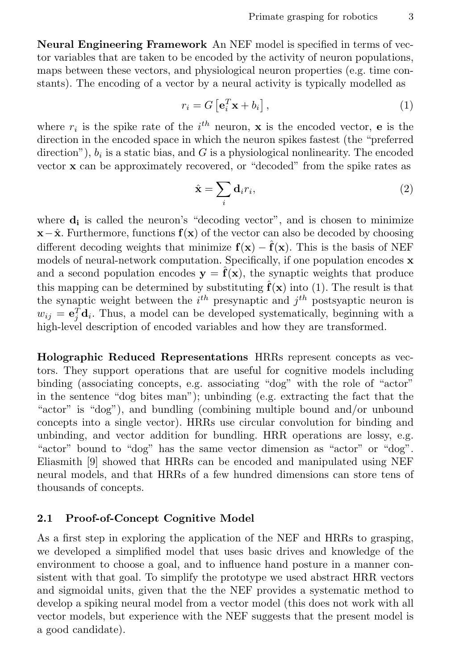Neural Engineering Framework An NEF model is specified in terms of vector variables that are taken to be encoded by the activity of neuron populations, maps between these vectors, and physiological neuron properties (e.g. time constants). The encoding of a vector by a neural activity is typically modelled as

$$
r_i = G\left[\mathbf{e}_i^T \mathbf{x} + b_i\right],\tag{1}
$$

where  $r_i$  is the spike rate of the  $i^{th}$  neuron, **x** is the encoded vector, **e** is the direction in the encoded space in which the neuron spikes fastest (the "preferred direction"),  $b_i$  is a static bias, and G is a physiological nonlinearity. The encoded vector x can be approximately recovered, or "decoded" from the spike rates as

$$
\hat{\mathbf{x}} = \sum_{i} \mathbf{d}_i r_i,\tag{2}
$$

where  $\mathbf{d_i}$  is called the neuron's "decoding vector", and is chosen to minimize  $\mathbf{x}-\hat{\mathbf{x}}$ . Furthermore, functions  $\mathbf{f}(\mathbf{x})$  of the vector can also be decoded by choosing different decoding weights that minimize  $f(x) - \hat{f}(x)$ . This is the basis of NEF models of neural-network computation. Specifically, if one population encodes  $x$ and a second population encodes  $y = \hat{f}(x)$ , the synaptic weights that produce this mapping can be determined by substituting  $\hat{f}(\mathbf{x})$  into (1). The result is that the synaptic weight between the  $i^{th}$  presynaptic and  $j^{th}$  postsyaptic neuron is  $w_{ij} = \mathbf{e}_j^T \mathbf{d}_i$ . Thus, a model can be developed systematically, beginning with a high-level description of encoded variables and how they are transformed.

Holographic Reduced Representations HRRs represent concepts as vectors. They support operations that are useful for cognitive models including binding (associating concepts, e.g. associating "dog" with the role of "actor" in the sentence "dog bites man"); unbinding (e.g. extracting the fact that the "actor" is "dog"), and bundling (combining multiple bound and/or unbound concepts into a single vector). HRRs use circular convolution for binding and unbinding, and vector addition for bundling. HRR operations are lossy, e.g. "actor" bound to "dog" has the same vector dimension as "actor" or "dog". Eliasmith [9] showed that HRRs can be encoded and manipulated using NEF neural models, and that HRRs of a few hundred dimensions can store tens of thousands of concepts.

#### 2.1 Proof-of-Concept Cognitive Model

As a first step in exploring the application of the NEF and HRRs to grasping, we developed a simplified model that uses basic drives and knowledge of the environment to choose a goal, and to influence hand posture in a manner consistent with that goal. To simplify the prototype we used abstract HRR vectors and sigmoidal units, given that the the NEF provides a systematic method to develop a spiking neural model from a vector model (this does not work with all vector models, but experience with the NEF suggests that the present model is a good candidate).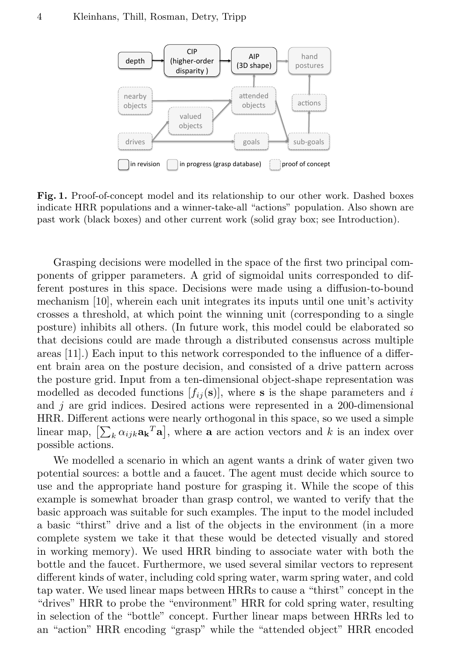

Fig. 1. Proof-of-concept model and its relationship to our other work. Dashed boxes indicate HRR populations and a winner-take-all "actions" population. Also shown are past work (black boxes) and other current work (solid gray box; see Introduction).

Grasping decisions were modelled in the space of the first two principal components of gripper parameters. A grid of sigmoidal units corresponded to different postures in this space. Decisions were made using a diffusion-to-bound mechanism [10], wherein each unit integrates its inputs until one unit's activity crosses a threshold, at which point the winning unit (corresponding to a single posture) inhibits all others. (In future work, this model could be elaborated so that decisions could are made through a distributed consensus across multiple areas [11].) Each input to this network corresponded to the influence of a different brain area on the posture decision, and consisted of a drive pattern across the posture grid. Input from a ten-dimensional object-shape representation was modelled as decoded functions  $[f_{ij}(\mathbf{s})]$ , where **s** is the shape parameters and i and  $j$  are grid indices. Desired actions were represented in a 200-dimensional HRR. Different actions were nearly orthogonal in this space, so we used a simple linear map,  $[\sum_k \alpha_{ijk} \mathbf{a_k}^T \mathbf{a}]$ , where **a** are action vectors and k is an index over possible actions.

We modelled a scenario in which an agent wants a drink of water given two potential sources: a bottle and a faucet. The agent must decide which source to use and the appropriate hand posture for grasping it. While the scope of this example is somewhat broader than grasp control, we wanted to verify that the basic approach was suitable for such examples. The input to the model included a basic "thirst" drive and a list of the objects in the environment (in a more complete system we take it that these would be detected visually and stored in working memory). We used HRR binding to associate water with both the bottle and the faucet. Furthermore, we used several similar vectors to represent different kinds of water, including cold spring water, warm spring water, and cold tap water. We used linear maps between HRRs to cause a "thirst" concept in the "drives" HRR to probe the "environment" HRR for cold spring water, resulting in selection of the "bottle" concept. Further linear maps between HRRs led to an "action" HRR encoding "grasp" while the "attended object" HRR encoded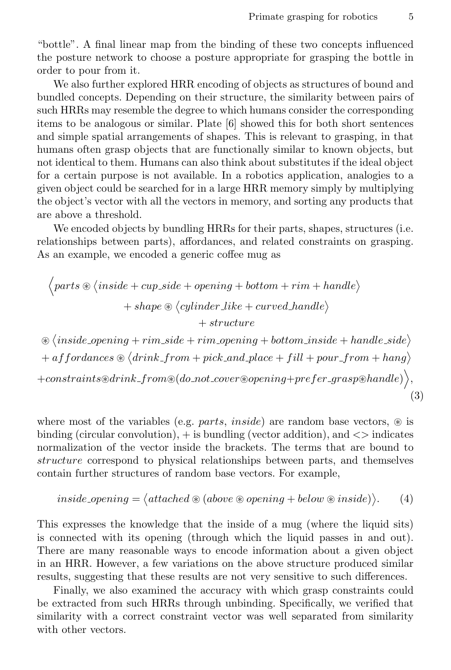"bottle". A final linear map from the binding of these two concepts influenced the posture network to choose a posture appropriate for grasping the bottle in order to pour from it.

We also further explored HRR encoding of objects as structures of bound and bundled concepts. Depending on their structure, the similarity between pairs of such HRRs may resemble the degree to which humans consider the corresponding items to be analogous or similar. Plate [6] showed this for both short sentences and simple spatial arrangements of shapes. This is relevant to grasping, in that humans often grasp objects that are functionally similar to known objects, but not identical to them. Humans can also think about substitutes if the ideal object for a certain purpose is not available. In a robotics application, analogies to a given object could be searched for in a large HRR memory simply by multiplying the object's vector with all the vectors in memory, and sorting any products that are above a threshold.

We encoded objects by bundling HRRs for their parts, shapes, structures (i.e. relationships between parts), affordances, and related constraints on grasping. As an example, we encoded a generic coffee mug as

$$
\left\langle parts \circledast \langle inside + cup\_side + opening + bottom + rim + handle \rangle \right. \\ \left. + shape \circledast \langle cylinder\_like + curved\_handle \rangle \right. \\ \left. + structure \right. \\ \left. \circledast \langle inside\_opening + rim\_side + rim\_opening + bottom\_inside + handle\_side \rangle \right. \\ \left. + affordances \circledast \langle drink\_from + pick\_and\_place + fill + pour\_from + hang \rangle \right. \\ \left. + constraints \circledast rink\_from \circledast (do\_not\_cover \circledast opening + prefer\_grasp \circledast handle) \right\rangle,
$$
 (3)

where most of the variables (e.g. *parts, inside*) are random base vectors,  $\circledast$  is binding (circular convolution),  $+$  is bundling (vector addition), and  $\lt$  indicates normalization of the vector inside the brackets. The terms that are bound to structure correspond to physical relationships between parts, and themselves contain further structures of random base vectors. For example,

$$
inside\text{-}opening = \langle attached \circledast (above \circledast opening + below \circledast inside) \rangle. \tag{4}
$$

This expresses the knowledge that the inside of a mug (where the liquid sits) is connected with its opening (through which the liquid passes in and out). There are many reasonable ways to encode information about a given object in an HRR. However, a few variations on the above structure produced similar results, suggesting that these results are not very sensitive to such differences.

Finally, we also examined the accuracy with which grasp constraints could be extracted from such HRRs through unbinding. Specifically, we verified that similarity with a correct constraint vector was well separated from similarity with other vectors.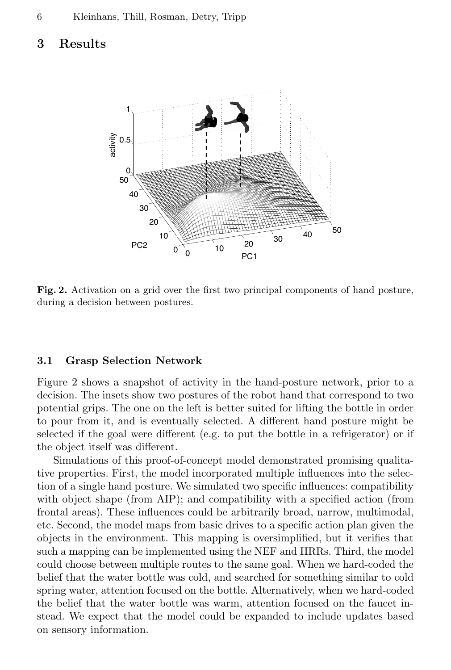### 3 Results



Fig. 2. Activation on a grid over the first two principal components of hand posture, during a decision between postures.

#### 3.1 Grasp Selection Network

Figure 2 shows a snapshot of activity in the hand-posture network, prior to a decision. The insets show two postures of the robot hand that correspond to two potential grips. The one on the left is better suited for lifting the bottle in order to pour from it, and is eventually selected. A different hand posture might be selected if the goal were different (e.g. to put the bottle in a refrigerator) or if the object itself was different.

Simulations of this proof-of-concept model demonstrated promising qualitative properties. First, the model incorporated multiple influences into the selection of a single hand posture. We simulated two specific influences: compatibility with object shape (from AIP); and compatibility with a specified action (from frontal areas). These influences could be arbitrarily broad, narrow, multimodal, etc. Second, the model maps from basic drives to a specific action plan given the objects in the environment. This mapping is oversimplified, but it verifies that such a mapping can be implemented using the NEF and HRRs. Third, the model could choose between multiple routes to the same goal. When we hard-coded the belief that the water bottle was cold, and searched for something similar to cold spring water, attention focused on the bottle. Alternatively, when we hard-coded the belief that the water bottle was warm, attention focused on the faucet instead. We expect that the model could be expanded to include updates based on sensory information.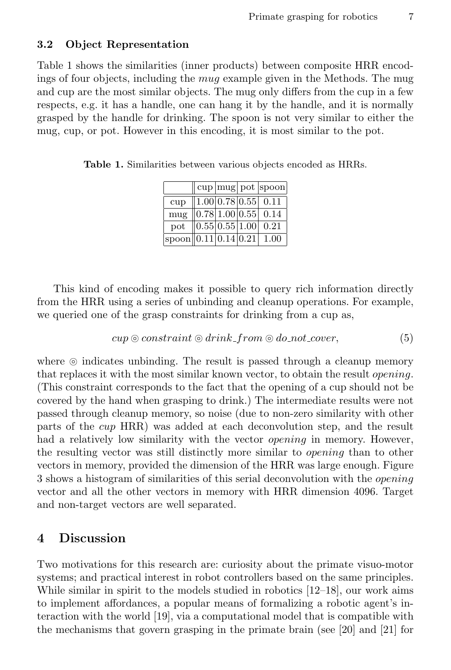#### 3.2 Object Representation

Table 1 shows the similarities (inner products) between composite HRR encodings of four objects, including the mug example given in the Methods. The mug and cup are the most similar objects. The mug only differs from the cup in a few respects, e.g. it has a handle, one can hang it by the handle, and it is normally grasped by the handle for drinking. The spoon is not very similar to either the mug, cup, or pot. However in this encoding, it is most similar to the pot.

 $cup \$ ot spoon cup  $|1.00|0.78|0.55|0.11$ mug  $\left| 0.78 \right| 1.00 \left| 0.55 \right| 0.14$ pot  $|0.55 \, 0.55 \, |1.00 \, |0.21$  $spoon || 0.11 | 0.14 | 0.21 | 1.00$ 

Table 1. Similarities between various objects encoded as HRRs.

This kind of encoding makes it possible to query rich information directly from the HRR using a series of unbinding and cleanup operations. For example, we queried one of the grasp constraints for drinking from a cup as,

$$
cup \odot constraint \odot drink\_from \odot do\_not\_cover,
$$
\n(5)

where  $\odot$  indicates unbinding. The result is passed through a cleanup memory that replaces it with the most similar known vector, to obtain the result opening. (This constraint corresponds to the fact that the opening of a cup should not be covered by the hand when grasping to drink.) The intermediate results were not passed through cleanup memory, so noise (due to non-zero similarity with other parts of the cup HRR) was added at each deconvolution step, and the result had a relatively low similarity with the vector *opening* in memory. However, the resulting vector was still distinctly more similar to opening than to other vectors in memory, provided the dimension of the HRR was large enough. Figure 3 shows a histogram of similarities of this serial deconvolution with the *opening* vector and all the other vectors in memory with HRR dimension 4096. Target and non-target vectors are well separated.

### 4 Discussion

Two motivations for this research are: curiosity about the primate visuo-motor systems; and practical interest in robot controllers based on the same principles. While similar in spirit to the models studied in robotics [12–18], our work aims to implement affordances, a popular means of formalizing a robotic agent's interaction with the world [19], via a computational model that is compatible with the mechanisms that govern grasping in the primate brain (see [20] and [21] for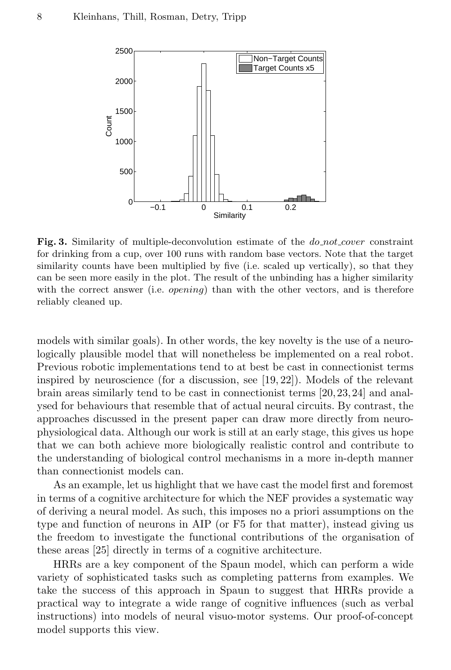

Fig. 3. Similarity of multiple-deconvolution estimate of the  $do\_not\_cover$  constraint for drinking from a cup, over 100 runs with random base vectors. Note that the target similarity counts have been multiplied by five (i.e. scaled up vertically), so that they can be seen more easily in the plot. The result of the unbinding has a higher similarity with the correct answer (i.e.  $\varphi$ *ening*) than with the other vectors, and is therefore reliably cleaned up.

models with similar goals). In other words, the key novelty is the use of a neurologically plausible model that will nonetheless be implemented on a real robot. Previous robotic implementations tend to at best be cast in connectionist terms inspired by neuroscience (for a discussion, see [19, 22]). Models of the relevant brain areas similarly tend to be cast in connectionist terms [20, 23, 24] and analysed for behaviours that resemble that of actual neural circuits. By contrast, the approaches discussed in the present paper can draw more directly from neurophysiological data. Although our work is still at an early stage, this gives us hope that we can both achieve more biologically realistic control and contribute to the understanding of biological control mechanisms in a more in-depth manner than connectionist models can.

As an example, let us highlight that we have cast the model first and foremost in terms of a cognitive architecture for which the NEF provides a systematic way of deriving a neural model. As such, this imposes no a priori assumptions on the type and function of neurons in AIP (or F5 for that matter), instead giving us the freedom to investigate the functional contributions of the organisation of these areas [25] directly in terms of a cognitive architecture.

HRRs are a key component of the Spaun model, which can perform a wide variety of sophisticated tasks such as completing patterns from examples. We take the success of this approach in Spaun to suggest that HRRs provide a practical way to integrate a wide range of cognitive influences (such as verbal instructions) into models of neural visuo-motor systems. Our proof-of-concept model supports this view.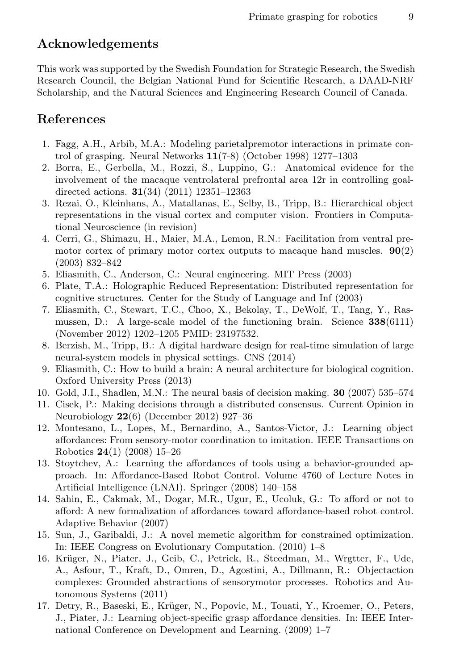# Acknowledgements

This work was supported by the Swedish Foundation for Strategic Research, the Swedish Research Council, the Belgian National Fund for Scientific Research, a DAAD-NRF Scholarship, and the Natural Sciences and Engineering Research Council of Canada.

# References

- 1. Fagg, A.H., Arbib, M.A.: Modeling parietalpremotor interactions in primate control of grasping. Neural Networks 11(7-8) (October 1998) 1277–1303
- 2. Borra, E., Gerbella, M., Rozzi, S., Luppino, G.: Anatomical evidence for the involvement of the macaque ventrolateral prefrontal area 12r in controlling goaldirected actions.  $31(34)$   $(2011)$   $12351-12363$
- 3. Rezai, O., Kleinhans, A., Matallanas, E., Selby, B., Tripp, B.: Hierarchical object representations in the visual cortex and computer vision. Frontiers in Computational Neuroscience (in revision)
- 4. Cerri, G., Shimazu, H., Maier, M.A., Lemon, R.N.: Facilitation from ventral premotor cortex of primary motor cortex outputs to macaque hand muscles.  $90(2)$ (2003) 832–842
- 5. Eliasmith, C., Anderson, C.: Neural engineering. MIT Press (2003)
- 6. Plate, T.A.: Holographic Reduced Representation: Distributed representation for cognitive structures. Center for the Study of Language and Inf (2003)
- 7. Eliasmith, C., Stewart, T.C., Choo, X., Bekolay, T., DeWolf, T., Tang, Y., Rasmussen, D.: A large-scale model of the functioning brain. Science 338(6111) (November 2012) 1202–1205 PMID: 23197532.
- 8. Berzish, M., Tripp, B.: A digital hardware design for real-time simulation of large neural-system models in physical settings. CNS (2014)
- 9. Eliasmith, C.: How to build a brain: A neural architecture for biological cognition. Oxford University Press (2013)
- 10. Gold, J.I., Shadlen, M.N.: The neural basis of decision making. 30 (2007) 535–574
- 11. Cisek, P.: Making decisions through a distributed consensus. Current Opinion in Neurobiology 22(6) (December 2012) 927–36
- 12. Montesano, L., Lopes, M., Bernardino, A., Santos-Victor, J.: Learning object affordances: From sensory-motor coordination to imitation. IEEE Transactions on Robotics 24(1) (2008) 15–26
- 13. Stoytchev, A.: Learning the affordances of tools using a behavior-grounded approach. In: Affordance-Based Robot Control. Volume 4760 of Lecture Notes in Artificial Intelligence (LNAI). Springer (2008) 140–158
- 14. Sahin, E., Cakmak, M., Dogar, M.R., Ugur, E., Ucoluk, G.: To afford or not to afford: A new formalization of affordances toward affordance-based robot control. Adaptive Behavior (2007)
- 15. Sun, J., Garibaldi, J.: A novel memetic algorithm for constrained optimization. In: IEEE Congress on Evolutionary Computation. (2010) 1–8
- 16. Krüger, N., Piater, J., Geib, C., Petrick, R., Steedman, M., Wrgtter, F., Ude, A., Asfour, T., Kraft, D., Omren, D., Agostini, A., Dillmann, R.: Objectaction complexes: Grounded abstractions of sensorymotor processes. Robotics and Autonomous Systems (2011)
- 17. Detry, R., Baseski, E., Krüger, N., Popovic, M., Touati, Y., Kroemer, O., Peters, J., Piater, J.: Learning object-specific grasp affordance densities. In: IEEE International Conference on Development and Learning. (2009) 1–7